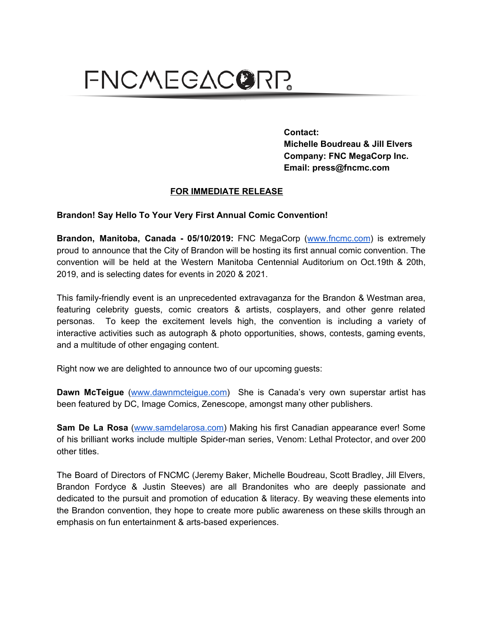## FNCMEGACORP.

**Contact: Michelle Boudreau & Jill Elvers Company: FNC MegaCorp Inc. Email: press@fncmc.com**

## **FOR IMMEDIATE RELEASE**

## **Brandon! Say Hello To Your Very First Annual Comic Convention!**

**Brandon, Manitoba, Canada - 05/10/2019:** FNC MegaCorp ([www.fncmc.com\)](http://www.fncmc.com/) is extremely proud to announce that the City of Brandon will be hosting its first annual comic convention. The convention will be held at the Western Manitoba Centennial Auditorium on Oct.19th & 20th, 2019, and is selecting dates for events in 2020 & 2021.

This family-friendly event is an unprecedented extravaganza for the Brandon & Westman area, featuring celebrity guests, comic creators & artists, cosplayers, and other genre related personas. To keep the excitement levels high, the convention is including a variety of interactive activities such as autograph & photo opportunities, shows, contests, gaming events, and a multitude of other engaging content.

Right now we are delighted to announce two of our upcoming guests:

**Dawn McTeigue** [\(www.dawnmcteigue.com\)](http://www.dawnmcteigue.com/) She is Canada's very own superstar artist has been featured by DC, Image Comics, Zenescope, amongst many other publishers.

**Sam De La Rosa** [\(www.samdelarosa.com\)](http://www.samdelarosa.com/) Making his first Canadian appearance ever! Some of his brilliant works include multiple Spider-man series, Venom: Lethal Protector, and over 200 other titles.

The Board of Directors of FNCMC (Jeremy Baker, Michelle Boudreau, Scott Bradley, Jill Elvers, Brandon Fordyce & Justin Steeves) are all Brandonites who are deeply passionate and dedicated to the pursuit and promotion of education & literacy. By weaving these elements into the Brandon convention, they hope to create more public awareness on these skills through an emphasis on fun entertainment & arts-based experiences.